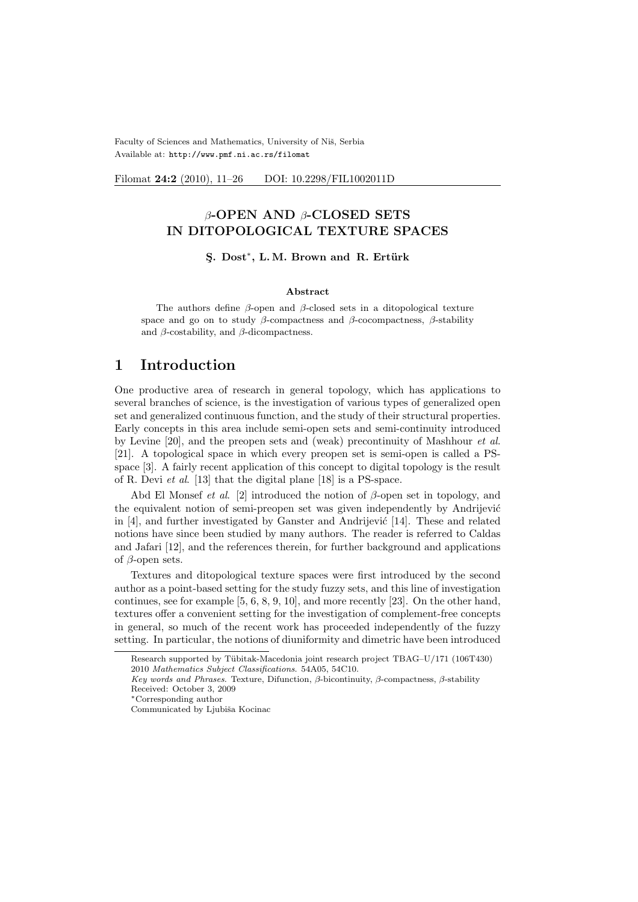Faculty of Sciences and Mathematics, University of Niš, Serbia Available at: http://www.pmf.ni.ac.rs/filomat

Filomat 24:2 (2010), 11–26 DOI: 10.2298/FIL1002011D

### β-OPEN AND β-CLOSED SETS IN DITOPOLOGICAL TEXTURE SPACES

#### §. Dost<sup>∗</sup>, L.M. Brown and R. Ertürk

#### Abstract

The authors define  $\beta$ -open and  $\beta$ -closed sets in a ditopological texture space and go on to study  $\beta$ -compactness and  $\beta$ -cocompactness,  $\beta$ -stability and  $\beta$ -costability, and  $\beta$ -dicompactness.

## 1 Introduction

One productive area of research in general topology, which has applications to several branches of science, is the investigation of various types of generalized open set and generalized continuous function, and the study of their structural properties. Early concepts in this area include semi-open sets and semi-continuity introduced by Levine [20], and the preopen sets and (weak) precontinuity of Mashhour et al. [21]. A topological space in which every preopen set is semi-open is called a PSspace [3]. A fairly recent application of this concept to digital topology is the result of R. Devi et al. [13] that the digital plane [18] is a PS-space.

Abd El Monsef *et al.* [2] introduced the notion of  $\beta$ -open set in topology, and the equivalent notion of semi-preopen set was given independently by Andrijević in  $[4]$ , and further investigated by Ganster and Andrijević  $[14]$ . These and related notions have since been studied by many authors. The reader is referred to Caldas and Jafari [12], and the references therein, for further background and applications of  $\beta$ -open sets.

Textures and ditopological texture spaces were first introduced by the second author as a point-based setting for the study fuzzy sets, and this line of investigation continues, see for example [5, 6, 8, 9, 10], and more recently [23]. On the other hand, textures offer a convenient setting for the investigation of complement-free concepts in general, so much of the recent work has proceeded independently of the fuzzy setting. In particular, the notions of diuniformity and dimetric have been introduced

Research supported by Tübitak-Macedonia joint research project TBAG–U/171 (106T430)

<sup>2010</sup> Mathematics Subject Classifications. 54A05, 54C10.

Key words and Phrases. Texture, Difunction, β-bicontinuity, β-compactness, β-stability Received: October 3, 2009

<sup>∗</sup>Corresponding author

Communicated by Ljubiša Kocinac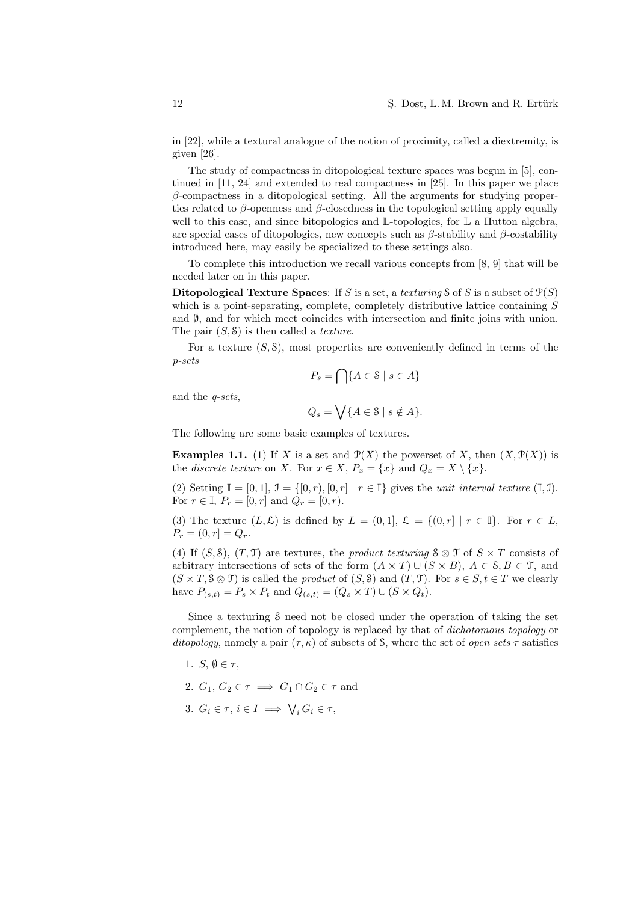in [22], while a textural analogue of the notion of proximity, called a diextremity, is given [26].

The study of compactness in ditopological texture spaces was begun in [5], continued in [11, 24] and extended to real compactness in [25]. In this paper we place  $\beta$ -compactness in a ditopological setting. All the arguments for studying properties related to  $\beta$ -openness and  $\beta$ -closedness in the topological setting apply equally well to this case, and since bitopologies and  $\mathbb{L}$ -topologies, for  $\mathbb{L}$  a Hutton algebra, are special cases of ditopologies, new concepts such as  $\beta$ -stability and  $\beta$ -costability introduced here, may easily be specialized to these settings also.

To complete this introduction we recall various concepts from [8, 9] that will be needed later on in this paper.

Ditopological Texture Spaces: If S is a set, a texturing S of S is a subset of  $P(S)$ which is a point-separating, complete, completely distributive lattice containing S and  $\emptyset$ , and for which meet coincides with intersection and finite joins with union. The pair  $(S, \mathcal{S})$  is then called a *texture*.

For a texture  $(S, \mathcal{S})$ , most properties are conveniently defined in terms of the p-sets  $\sim$ 

$$
P_s = \bigcap \{ A \in \mathcal{S} \mid s \in A \}
$$

and the q-sets,

$$
Q_s = \bigvee \{ A \in \mathcal{S} \mid s \notin A \}.
$$

The following are some basic examples of textures.

**Examples 1.1.** (1) If X is a set and  $\mathcal{P}(X)$  the powerset of X, then  $(X, \mathcal{P}(X))$  is the *discrete texture* on X. For  $x \in X$ ,  $P_x = \{x\}$  and  $Q_x = X \setminus \{x\}$ .

(2) Setting  $\mathbb{I} = [0, 1], \mathbb{I} = \{ [0, r), [0, r] \mid r \in \mathbb{I} \}$  gives the unit interval texture  $(\mathbb{I}, \mathbb{I}).$ For  $r \in \mathbb{I}$ ,  $P_r = [0, r]$  and  $Q_r = [0, r)$ .

(3) The texture  $(L, \mathcal{L})$  is defined by  $L = (0, 1], \mathcal{L} = \{(0, r] \mid r \in \mathbb{I}\}\)$ . For  $r \in L$ ,  $P_r = (0, r] = Q_r.$ 

(4) If (S, S), (T, T) are textures, the *product texturing*  $\delta \otimes \mathcal{T}$  of  $S \times T$  consists of arbitrary intersections of sets of the form  $(A \times T) \cup (S \times B)$ ,  $A \in \mathcal{S}, B \in \mathcal{T}$ , and  $(S \times T, S \otimes T)$  is called the *product* of  $(S, S)$  and  $(T, T)$ . For  $s \in S, t \in T$  we clearly have  $P_{(s,t)} = P_s \times P_t$  and  $Q_{(s,t)} = (Q_s \times T) \cup (S \times Q_t)$ .

Since a texturing S need not be closed under the operation of taking the set complement, the notion of topology is replaced by that of dichotomous topology or ditopology, namely a pair  $(\tau, \kappa)$  of subsets of S, where the set of open sets  $\tau$  satisfies

- 1. S,  $\emptyset \in \tau$ ,
- 2.  $G_1, G_2 \in \tau \implies G_1 \cap G_2 \in \tau$  and
- 3.  $G_i \in \tau, i \in I \implies \bigvee_i G_i \in \tau$ ,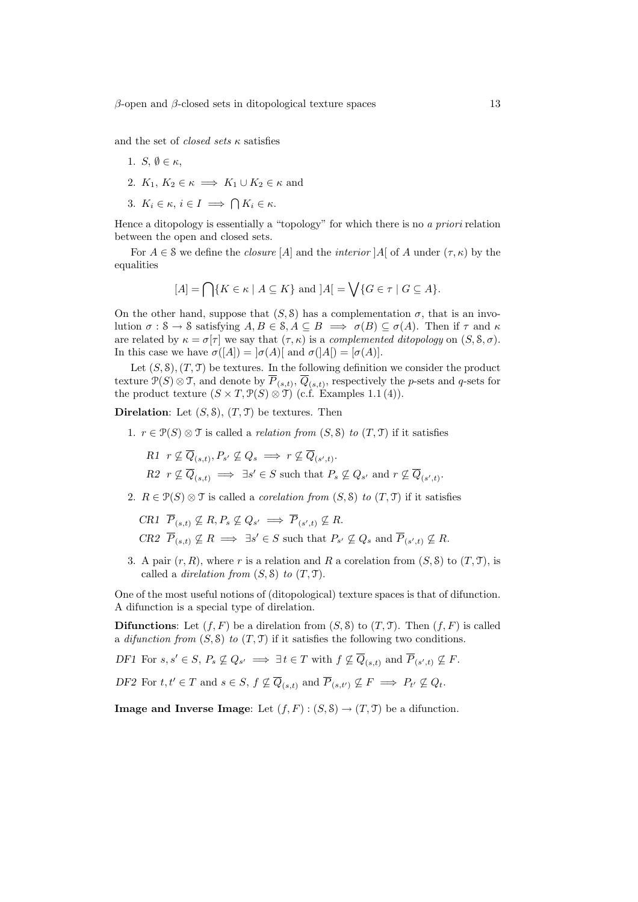and the set of *closed sets*  $\kappa$  satisfies

- 1. S,  $\emptyset \in \kappa$ ,
- 2.  $K_1, K_2 \in \kappa \implies K_1 \cup K_2 \in \kappa$  and
- 3.  $K_i \in \kappa, i \in I \implies \bigcap K_i \in \kappa$ .

Hence a ditopology is essentially a "topology" for which there is no a priori relation between the open and closed sets.

For  $A \in \mathcal{S}$  we define the *closure* [A] and the *interior* [A] of A under  $(\tau, \kappa)$  by the equalities

$$
[A] = \bigcap \{ K \in \kappa \mid A \subseteq K \} \text{ and } |A| = \bigvee \{ G \in \tau \mid G \subseteq A \}.
$$

On the other hand, suppose that  $(S, \mathcal{S})$  has a complementation  $\sigma$ , that is an involution  $\sigma : \mathcal{S} \to \mathcal{S}$  satisfying  $A, B \in \mathcal{S}, A \subseteq B \implies \sigma(B) \subseteq \sigma(A)$ . Then if  $\tau$  and  $\kappa$ are related by  $\kappa = \sigma[\tau]$  we say that  $(\tau, \kappa)$  is a *complemented ditopology* on  $(S, \mathcal{S}, \sigma)$ . In this case we have  $\sigma([A]) = |\sigma(A)|$  and  $\sigma([A]) = |\sigma(A)|$ .

Let  $(S, \mathcal{S}), (T, \mathcal{T})$  be textures. In the following definition we consider the product texture  $\mathcal{P}(S) \otimes \mathcal{T}$ , and denote by  $\overline{P}_{(s,t)}$ ,  $\overline{Q}_{(s,t)}$ , respectively the *p*-sets and *q*-sets for the product texture  $(S \times T, \mathcal{P}(S) \otimes \mathcal{T})$  (c.f. Examples 1.1(4)).

**Direlation:** Let  $(S, \mathcal{S}), (T, \mathcal{T})$  be textures. Then

1.  $r \in \mathcal{P}(S) \otimes \mathcal{T}$  is called a *relation from*  $(S, \mathcal{S})$  to  $(T, \mathcal{T})$  if it satisfies

 $R1 \ \ r \nsubseteq \overline{Q}_{(s,t)}, P_{s'} \nsubseteq Q_s \implies r \nsubseteq \overline{Q}_{(s',t)}.$  $R2 \rvert r \nsubseteq \overline{Q}_{(s,t)} \implies \exists s' \in S \text{ such that } P_s \nsubseteq Q_{s'} \text{ and } r \nsubseteq \overline{Q}_{(s',t)}.$ 

2.  $R \in \mathcal{P}(S) \otimes \mathcal{T}$  is called a *corelation from*  $(S, \mathcal{S})$  to  $(T, \mathcal{T})$  if it satisfies

CR1  $\overline{P}_{(s,t)} \nsubseteq R, P_s \nsubseteq Q_{s'} \implies \overline{P}_{(s',t)} \nsubseteq R$ .  $CR2 \ \overline{P}_{(s,t)} \not\subseteq R \implies \exists s' \in S \text{ such that } P_{s'} \not\subseteq Q_s \text{ and } \overline{P}_{(s',t)} \not\subseteq R.$ 

3. A pair  $(r, R)$ , where r is a relation and R a corelation from  $(S, S)$  to  $(T, \mathcal{T})$ , is called a *direlation from*  $(S, \mathcal{S})$  to  $(T, \mathcal{T})$ .

One of the most useful notions of (ditopological) texture spaces is that of difunction. A difunction is a special type of direlation.

**Difunctions:** Let  $(f, F)$  be a direlation from  $(S, \mathcal{S})$  to  $(T, \mathcal{T})$ . Then  $(f, F)$  is called a difunction from  $(S, \mathcal{S})$  to  $(T, \mathcal{T})$  if it satisfies the following two conditions.

DF1 For  $s, s' \in S$ ,  $P_s \nsubseteq Q_{s'} \implies \exists t \in T$  with  $f \nsubseteq \overline{Q}_{(s,t)}$  and  $\overline{P}_{(s',t)} \nsubseteq F$ .

DF2 For  $t, t' \in T$  and  $s \in S$ ,  $f \nsubseteq \overline{Q}_{(s,t)}$  and  $\overline{P}_{(s,t')} \nsubseteq F \implies P_{t'} \nsubseteq Q_t$ .

**Image and Inverse Image:** Let  $(f, F) : (S, \mathcal{S}) \to (T, \mathcal{T})$  be a difunction.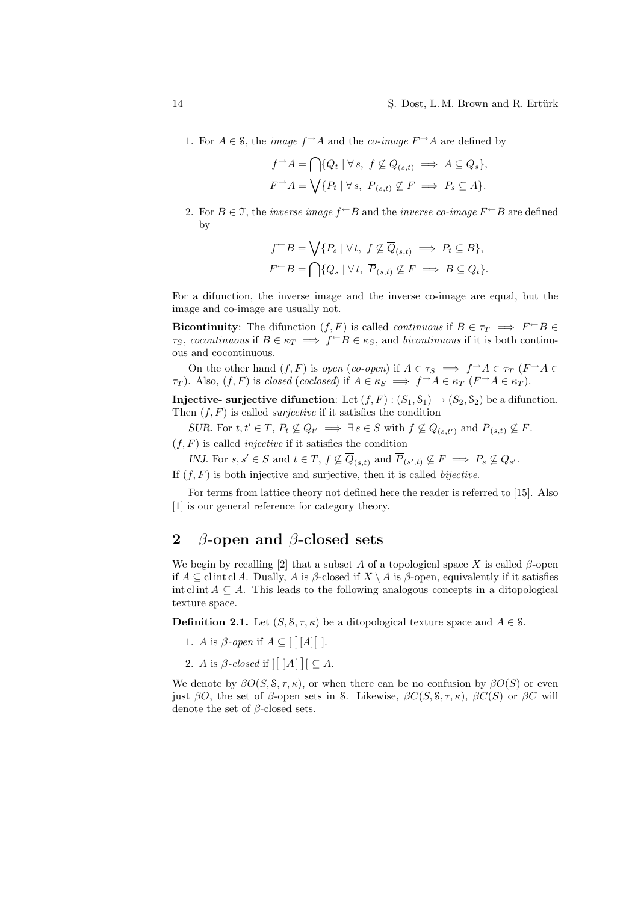1. For  $A \in \mathcal{S}$ , the *image*  $f \rightarrow A$  and the *co-image*  $F \rightarrow A$  are defined by

$$
f^{\rightarrow} A = \bigcap \{ Q_t \mid \forall s, \ f \nsubseteq \overline{Q}_{(s,t)} \implies A \subseteq Q_s \},
$$
  

$$
F^{\rightarrow} A = \bigvee \{ P_t \mid \forall s, \ \overline{P}_{(s,t)} \nsubseteq F \implies P_s \subseteq A \}.
$$

2. For  $B \in \mathcal{T}$ , the *inverse image*  $f^{\leftarrow}B$  and the *inverse co-image*  $F^{\leftarrow}B$  are defined by

$$
f^{\leftarrow}B = \bigvee \{ P_s \mid \forall t, \ f \nsubseteq \overline{Q}_{(s,t)} \implies P_t \subseteq B \},
$$
  

$$
F^{\leftarrow}B = \bigcap \{ Q_s \mid \forall t, \ \overline{P}_{(s,t)} \nsubseteq F \implies B \subseteq Q_t \}.
$$

For a difunction, the inverse image and the inverse co-image are equal, but the image and co-image are usually not.

**Bicontinuity**: The difunction  $(f, F)$  is called *continuous* if  $B \in \tau_T \implies F \subseteq B$  $\tau_S$ , cocontinuous if  $B \in \kappa_T \implies f \subset B \in \kappa_S$ , and bicontinuous if it is both continuous and cocontinuous.

On the other hand  $(f, F)$  is open (co-open) if  $A \in \tau_S \implies f \rightarrow A \in \tau_T$  ( $F \rightarrow A \in$  $\tau_T$ ). Also,  $(f, F)$  is closed (coclosed) if  $A \in \kappa_S \implies f \rightarrow A \in \kappa_T$   $(F \rightarrow A \in \kappa_T)$ .

**Injective- surjective difunction:** Let  $(f, F) : (S_1, S_1) \to (S_2, S_2)$  be a difunction. Then  $(f, F)$  is called *surjective* if it satisfies the condition

SUR. For  $t, t' \in T$ ,  $P_t \nsubseteq Q_{t'} \implies \exists s \in S \text{ with } f \nsubseteq \overline{Q}_{(s,t')} \text{ and } \overline{P}_{(s,t)} \nsubseteq F$ .

 $(f, F)$  is called *injective* if it satisfies the condition

INJ. For  $s, s' \in S$  and  $t \in T$ ,  $f \nsubseteq \overline{Q}_{(s,t)}$  and  $\overline{P}_{(s',t)} \nsubseteq F \implies P_s \nsubseteq Q_{s'}$ .

If  $(f, F)$  is both injective and surjective, then it is called *bijective*.

For terms from lattice theory not defined here the reader is referred to [15]. Also [1] is our general reference for category theory.

# 2  $\beta$ -open and  $\beta$ -closed sets

We begin by recalling [2] that a subset A of a topological space X is called  $\beta$ -open if  $A \subseteq$  clint cl A. Dually, A is  $\beta$ -closed if  $X \setminus A$  is  $\beta$ -open, equivalently if it satisfies int cl int  $A \subseteq A$ . This leads to the following analogous concepts in a ditopological texture space.

**Definition 2.1.** Let  $(S, \mathcal{S}, \tau, \kappa)$  be a ditopological texture space and  $A \in \mathcal{S}$ .

- 1. A is  $\beta$ -open if  $A \subseteq [$ ¤  $[A]$  $\frac{1}{\epsilon}$ ].
- 2. A is  $\beta$ -closed if  $\left| \begin{array}{c} \end{array} \right|$  |A ¤  $[ \subseteq A$ .

We denote by  $\beta O(S, \mathcal{S}, \tau, \kappa)$ , or when there can be no confusion by  $\beta O(S)$  or even just  $\beta O$ , the set of  $\beta$ -open sets in S. Likewise,  $\beta C(S, \mathcal{S}, \tau, \kappa)$ ,  $\beta C(S)$  or  $\beta C$  will denote the set of  $\beta$ -closed sets.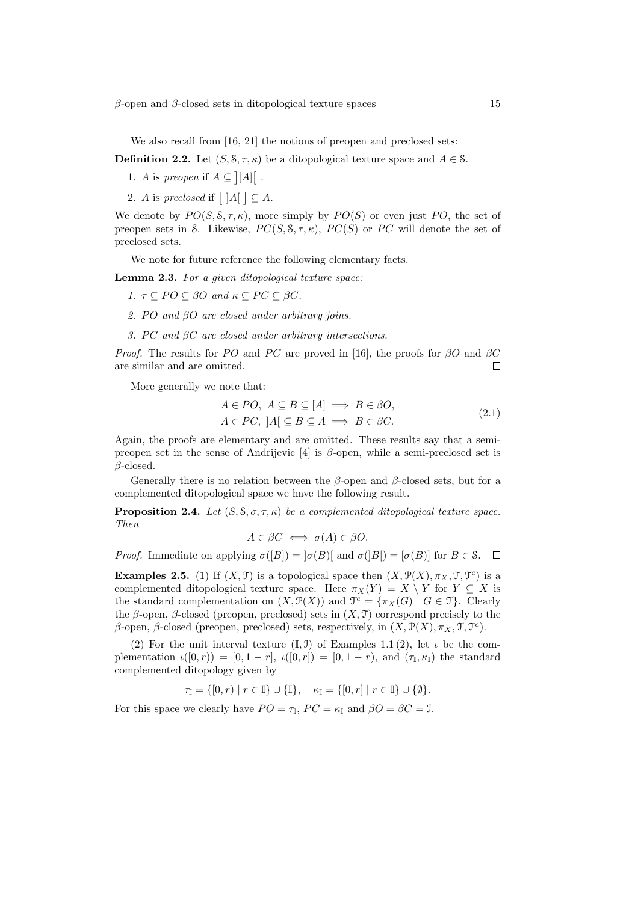$\beta$ -open and  $\beta$ -closed sets in ditopological texture spaces 15

We also recall from [16, 21] the notions of preopen and preclosed sets:

**Definition 2.2.** Let  $(S, \mathcal{S}, \tau, \kappa)$  be a ditopological texture space and  $A \in \mathcal{S}$ .

- 1. A is preopen if  $A \subseteq$ .<br>- $[A]$ £ .
- 2. A is preclosed if  $\lceil |A|$ l<br>E  $\subseteq A$ .

We denote by  $PO(S, \mathcal{S}, \tau, \kappa)$ , more simply by  $PO(S)$  or even just PO, the set of preopen sets in S. Likewise,  $PC(S, S, \tau, \kappa)$ ,  $PC(S)$  or PC will denote the set of preclosed sets.

We note for future reference the following elementary facts.

Lemma 2.3. For a given ditopological texture space:

- 1.  $\tau \subseteq PO \subseteq \beta O$  and  $\kappa \subseteq PC \subseteq \beta C$ .
- 2. PO and  $\beta$ O are closed under arbitrary joins.
- 3. PC and  $\beta C$  are closed under arbitrary intersections.

*Proof.* The results for PO and PC are proved in [16], the proofs for  $\beta O$  and  $\beta C$ are similar and are omitted.  $\Box$ 

More generally we note that:

$$
A \in PO, A \subseteq B \subseteq [A] \implies B \in \beta O,
$$
  

$$
A \in PC, |A| \subseteq B \subseteq A \implies B \in \beta C.
$$
 (2.1)

Again, the proofs are elementary and are omitted. These results say that a semipreopen set in the sense of Andrijevic [4] is  $\beta$ -open, while a semi-preclosed set is  $\beta$ -closed.

Generally there is no relation between the  $\beta$ -open and  $\beta$ -closed sets, but for a complemented ditopological space we have the following result.

**Proposition 2.4.** Let  $(S, \mathcal{S}, \sigma, \tau, \kappa)$  be a complemented ditopological texture space. Then

$$
A \in \beta C \iff \sigma(A) \in \beta O.
$$

*Proof.* Immediate on applying  $\sigma([B]) = |\sigma(B)|$  and  $\sigma([B]) = [\sigma(B)]$  for  $B \in \mathcal{S}$ .  $\Box$ 

**Examples 2.5.** (1) If  $(X, \mathcal{T})$  is a topological space then  $(X, \mathcal{P}(X), \pi_X, \mathcal{T}, \mathcal{T}^c)$  is a complemented ditopological texture space. Here  $\pi_X(Y) = X \setminus Y$  for  $Y \subseteq X$  is the standard complementation on  $(X, \mathcal{P}(X))$  and  $\mathcal{T}^c = {\pi_X(G) | G \in \mathcal{T}}$ . Clearly the  $\beta$ -open,  $\beta$ -closed (preopen, preclosed) sets in  $(X, \mathcal{T})$  correspond precisely to the  $\beta$ -open,  $\beta$ -closed (preopen, preclosed) sets, respectively, in  $(X, \mathcal{P}(X), \pi_X, \mathcal{T}, \mathcal{T}^c)$ .

(2) For the unit interval texture  $(I, J)$  of Examples 1.1 (2), let  $\iota$  be the complementation  $\iota([0,r)) = [0,1-r], \ \iota([0,r]) = [0,1-r], \text{ and } (\tau_{\mathbb{I}}, \kappa_{\mathbb{I}})$  the standard complemented ditopology given by

$$
\tau_{\mathbb{I}} = \{ [0, r) \mid r \in \mathbb{I} \} \cup \{ \mathbb{I} \}, \quad \kappa_{\mathbb{I}} = \{ [0, r] \mid r \in \mathbb{I} \} \cup \{ \emptyset \}.
$$

For this space we clearly have  $PO = \tau_{\mathbb{I}}$ ,  $PC = \kappa_{\mathbb{I}}$  and  $\beta O = \beta C = \mathbb{I}$ .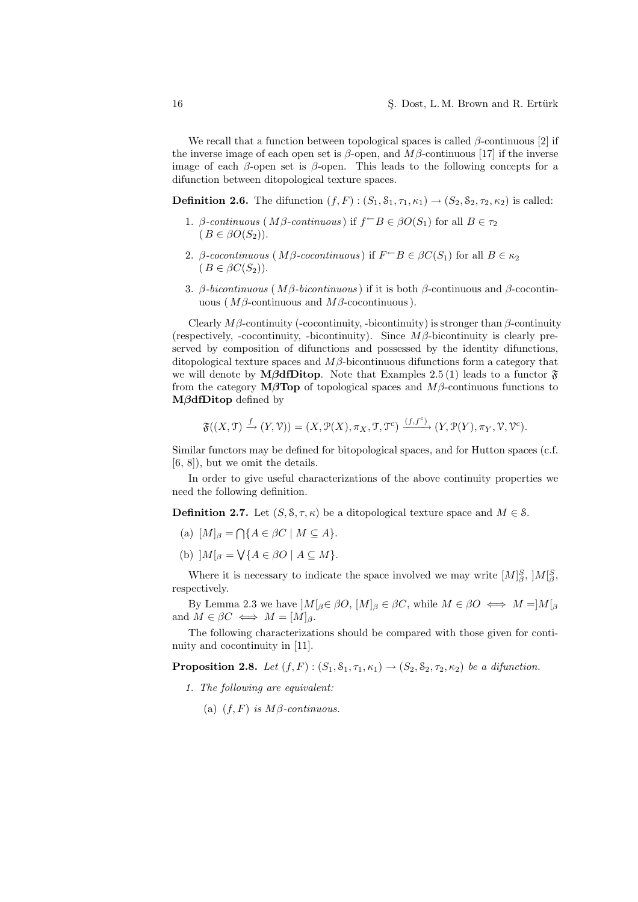We recall that a function between topological spaces is called  $\beta$ -continuous [2] if the inverse image of each open set is  $\beta$ -open, and  $M\beta$ -continuous [17] if the inverse image of each  $\beta$ -open set is  $\beta$ -open. This leads to the following concepts for a difunction between ditopological texture spaces.

**Definition 2.6.** The difunction  $(f, F)$ :  $(S_1, S_1, \tau_1, \kappa_1) \rightarrow (S_2, S_2, \tau_2, \kappa_2)$  is called:

- 1. β-continuous ( $M\beta$ -continuous) if  $f^{\leftarrow}B \in \beta O(S_1)$  for all  $B \in \tau_2$  $(B \in \beta O(S_2)).$
- 2. β-cocontinuous (Mβ-cocontinuous) if  $F \subseteq B \in \beta C(S_1)$  for all  $B \in \kappa_2$  $(B \in \beta C(S_2)).$
- 3. β-bicontinuous ( $Mβ$ -bicontinuous) if it is both  $β$ -continuous and  $β$ -cocontinuous ( $Mβ$ -continuous and  $Mβ$ -cocontinuous).

Clearly  $M\beta$ -continuity (-cocontinuity, -bicontinuity) is stronger than  $\beta$ -continuity (respectively, -cocontinuity, -bicontinuity). Since  $M\beta$ -bicontinuity is clearly preserved by composition of difunctions and possessed by the identity difunctions, ditopological texture spaces and  $M\beta$ -bicontinuous difunctions form a category that we will denote by **M**βdfDitop. Note that Examples 2.5 (1) leads to a functor  $\mathfrak{F}$ from the category  $M\beta$ Top of topological spaces and  $M\beta$ -continuous functions to MβdfDitop defined by

$$
\mathfrak{F}((X,\mathfrak{I})\xrightarrow{f}(Y,\mathcal{V}))=(X,\mathcal{P}(X),\pi_X,\mathfrak{I},\mathfrak{I}^c)\xrightarrow{(f,f^c)}(Y,\mathcal{P}(Y),\pi_Y,\mathcal{V},\mathcal{V}^c).
$$

Similar functors may be defined for bitopological spaces, and for Hutton spaces (c.f. [6, 8]), but we omit the details.

In order to give useful characterizations of the above continuity properties we need the following definition.

**Definition 2.7.** Let  $(S, \mathcal{S}, \tau, \kappa)$  be a ditopological texture space and  $M \in \mathcal{S}$ .

- (a)  $[M]_{\beta} = \bigcap \{ A \in \beta C \mid M \subseteq A \}.$
- (b)  $]M[_{\beta} = \bigvee \{ A \in \beta O \mid A \subseteq M \}.$

Where it is necessary to indicate the space involved we may write  $[M]^S_{\beta}$ ,  $]M^S_{\beta}$ , respectively.

By Lemma 2.3 we have  $|M|_{\beta} \in \beta O, [M]_{\beta} \in \beta C$ , while  $M \in \beta O \iff M = |M|_{\beta}$ and  $M \in \beta C \iff M = [M]_{\beta}$ .

The following characterizations should be compared with those given for continuity and cocontinuity in [11].

**Proposition 2.8.** Let  $(f, F)$ :  $(S_1, S_1, \tau_1, \kappa_1) \rightarrow (S_2, S_2, \tau_2, \kappa_2)$  be a difunction.

- 1. The following are equivalent:
	- (a)  $(f, F)$  is  $M\beta$ -continuous.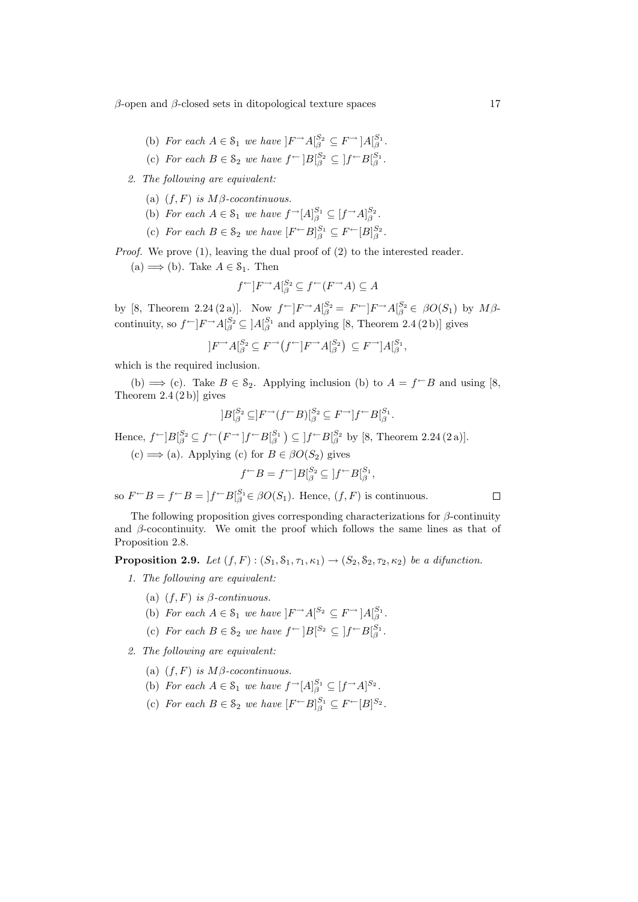$\beta$ -open and  $\beta$ -closed sets in ditopological texture spaces 17

- (b) For each  $A \in \mathcal{S}_1$  we have  $]F^{-}A\begin{bmatrix} S_2 \ G \end{bmatrix} \subseteq F^{-}A\begin{bmatrix} S_1 \ G \end{bmatrix}$ .
- (c) For each  $B \in \mathcal{S}_2$  we have  $f^{\leftarrow} |B_{\beta}^{S_2} \subseteq |f^{\leftarrow} B_{\beta}^{S_1}$ .

2. The following are equivalent:

- (a)  $(f, F)$  is  $M\beta$ -cocontinuous.
- (b) For each  $A \in \mathcal{S}_1$  we have  $f^{-}[A]_{\beta}^{S_1} \subseteq [f^{-}A]_{\beta}^{S_2}$ .
- (c) For each  $B \in \mathcal{S}_2$  we have  $[F^{\leftarrow}B]_{\beta}^{S_1} \subseteq F^{\leftarrow}[B]_{\beta}^{S_2}$ .

Proof. We prove (1), leaving the dual proof of (2) to the interested reader.

(a)  $\implies$  (b). Take  $A \in \mathcal{S}_1$ . Then

$$
f^{\leftarrow}]F^{\rightarrow}A_{\beta}^{S_2} \subseteq f^{\leftarrow}(F^{\rightarrow}A) \subseteq A
$$

by [8, Theorem 2.24 (2 a)]. Now  $f^{\leftarrow}$ ] $F^{\rightarrow} A_{\beta}^{S_2} = F^{\leftarrow}$ ] $F^{\rightarrow} A_{\beta}^{S_2} \in \beta O(S_1)$  by  $M\beta$ continuity, so  $f^{\leftarrow}$ ] $F^{\rightarrow}$   $A_{\lfloor \beta \rfloor}^{S_2} \subseteq$  ] $A_{\lfloor \beta \rfloor}^{S_1}$  and applying [8, Theorem 2.4 (2 b)] gives

$$
]F^{\rightarrow}A_{\beta}^{S_2} \subseteq F^{\rightarrow}(f^{\leftarrow}]F^{\rightarrow}A_{\beta}^{S_2}) \subseteq F^{\rightarrow}]A_{\beta}^{S_1},
$$

which is the required inclusion.

(b)  $\implies$  (c). Take  $B \in \mathcal{S}_2$ . Applying inclusion (b) to  $A = f^{\leftarrow}B$  and using [8, Theorem  $2.4(2 b)$  gives

$$
]B[^{S_2}_{\beta}\subseteq]F^{\rightarrow}(f^{\leftarrow}B)[^{S_2}_{\beta}\subseteq F^{\rightarrow}]f^{\leftarrow}B[^{S_1}_{\beta}.
$$

Hence,  $f^{\leftarrow}]B_{\beta}^{S_2} \subseteq f^{\leftarrow}(F^{\rightarrow})f^{\leftarrow}B_{\beta}^{S_1}$  $\mathcal{L} \subseteq [f \sqsubset B]_{\beta}^{S_2}$  by [8, Theorem 2.24 (2 a)].

 $(c) \Longrightarrow$  (a). Applying (c) for  $B \in \beta O(S_2)$  gives

$$
f^{\leftarrow}B = f^{\leftarrow}]B^{S_2}_{\beta} \subseteq ]f^{\leftarrow}B^{S_1}_{\beta},
$$

so  $F \subset B = f \subset B = |f \cap B|_{\beta}^{S_1} \in \beta O(S_1)$ . Hence,  $(f, F)$  is continuous.

The following proposition gives corresponding characterizations for  $\beta$ -continuity and  $\beta$ -cocontinuity. We omit the proof which follows the same lines as that of Proposition 2.8.

**Proposition 2.9.** Let  $(f, F)$ :  $(S_1, S_1, \tau_1, \kappa_1) \rightarrow (S_2, S_2, \tau_2, \kappa_2)$  be a difunction.

- 1. The following are equivalent:
	- (a)  $(f, F)$  is  $\beta$ -continuous.
	- (b) For each  $A \in \mathcal{S}_1$  we have  $]F \rightarrow A[{}^{S_2} \subseteq F \rightarrow] A[{}^{S_1}_{\beta}$ .
	- (c) For each  $B \in \mathcal{S}_2$  we have  $f^{\leftarrow} |B|^{S_2} \subseteq |f^{\leftarrow}B|_{\beta}^{S_1}$ .
- 2. The following are equivalent:
	- (a)  $(f, F)$  is  $M\beta$ -cocontinuous.
	- (b) For each  $A \in \mathcal{S}_1$  we have  $f^{-}[A]_{\beta}^{S_1} \subseteq [f^{-}A]^{S_2}$ .
	- (c) For each  $B \in \mathcal{S}_2$  we have  $[F \subset B]_{\beta}^{S_1} \subseteq F \subset [B]^{S_2}$ .

 $\Box$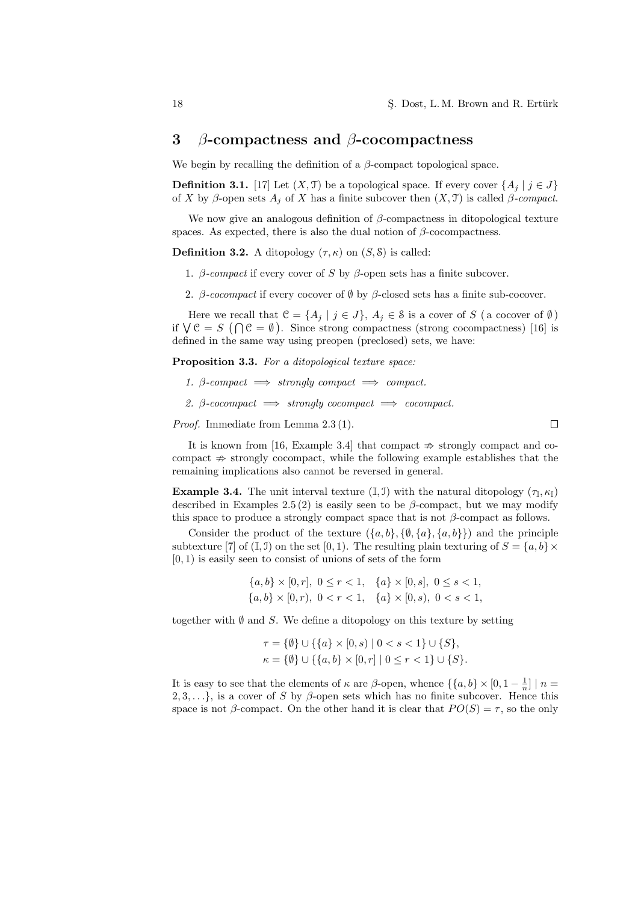## 3 β-compactness and β-cocompactness

We begin by recalling the definition of a  $\beta$ -compact topological space.

**Definition 3.1.** [17] Let  $(X, \mathcal{T})$  be a topological space. If every cover  $\{A_i \mid j \in J\}$ of X by β-open sets  $A_i$  of X has a finite subcover then  $(X, \mathcal{T})$  is called β-compact.

We now give an analogous definition of  $\beta$ -compactness in ditopological texture spaces. As expected, there is also the dual notion of  $\beta$ -cocompactness.

**Definition 3.2.** A ditopology  $(\tau, \kappa)$  on  $(S, \delta)$  is called:

- 1.  $\beta$ -compact if every cover of S by  $\beta$ -open sets has a finite subcover.
- 2. β-cocompact if every cocover of  $\emptyset$  by β-closed sets has a finite sub-cocover.

Here we recall that  $\mathcal{C} = \{A_j \mid j \in J\}$ ,  $A_j \in \mathcal{S}$  is a cover of S (a cocover of  $\emptyset$ ) if  $\bigvee \mathcal{C} = S \cap \bigcap \mathcal{C} = \emptyset$ ). Since strong compactness (strong cocompactness) [16] is defined in the same way using preopen (preclosed) sets, we have:

Proposition 3.3. For a ditopological texture space:

- 1. β-compact  $\implies$  strongly compact  $\implies$  compact.
- 2. β-cocompact  $\implies$  strongly cocompact  $\implies$  cocompact.

Proof. Immediate from Lemma 2.3 (1).

It is known from [16, Example 3.4] that compact  $\Rightarrow$  strongly compact and cocompact  $\Rightarrow$  strongly cocompact, while the following example establishes that the remaining implications also cannot be reversed in general.

**Example 3.4.** The unit interval texture  $(I, J)$  with the natural ditopology  $(\tau_{I}, \kappa_{I})$ described in Examples 2.5 (2) is easily seen to be  $\beta$ -compact, but we may modify this space to produce a strongly compact space that is not  $\beta$ -compact as follows.

Consider the product of the texture  $({a, b}, {0, a}, {a, b})$  and the principle subtexture [7] of (I, J) on the set [0, 1). The resulting plain texturing of  $S = \{a, b\} \times$  $[0, 1)$  is easily seen to consist of unions of sets of the form

> ${a, b} \times [0, r], 0 \le r < 1, \{a\} \times [0, s], 0 \le s < 1,$  ${a, b} \times [0, r), 0 < r < 1, \{a\} \times [0, s), 0 < s < 1,$

together with  $\emptyset$  and S. We define a ditopology on this texture by setting

$$
\tau = \{\emptyset\} \cup \{\{a\} \times [0, s) \mid 0 < s < 1\} \cup \{S\},
$$
\n
$$
\kappa = \{\emptyset\} \cup \{\{a, b\} \times [0, r] \mid 0 \le r < 1\} \cup \{S\}.
$$

It is easy to see that the elements of  $\kappa$  are  $\beta$ -open, whence  $\{\{a, b\} \times [0, 1 - \frac{1}{n}] \mid n =$  $2, 3, \ldots\}$ , is a cover of S by  $\beta$ -open sets which has no finite subcover. Hence this space is not  $\beta$ -compact. On the other hand it is clear that  $PO(S) = \tau$ , so the only

 $\Box$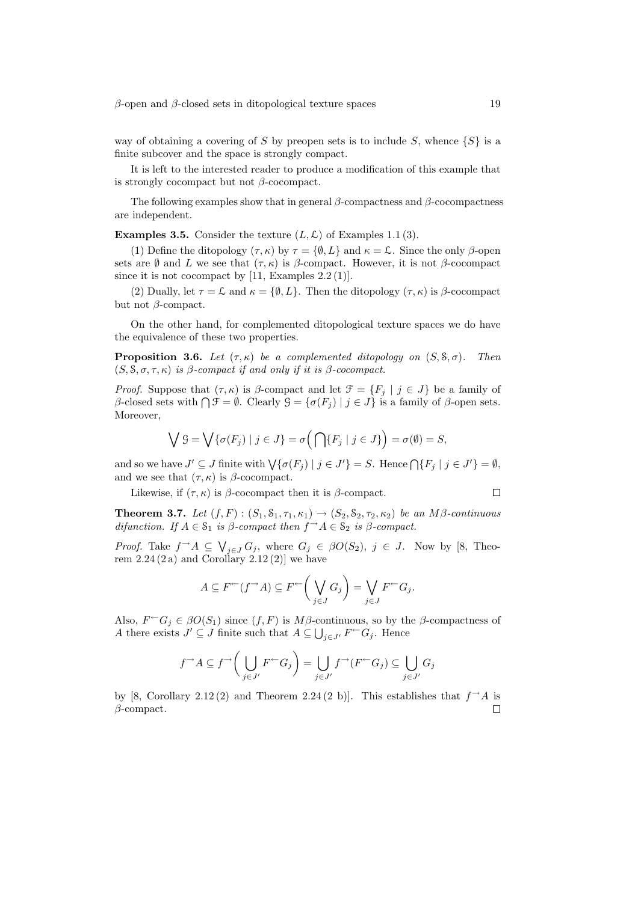way of obtaining a covering of S by preopen sets is to include S, whence  $\{S\}$  is a finite subcover and the space is strongly compact.

It is left to the interested reader to produce a modification of this example that is strongly cocompact but not  $\beta$ -cocompact.

The following examples show that in general  $\beta$ -compactness and  $\beta$ -cocompactness are independent.

**Examples 3.5.** Consider the texture  $(L, \mathcal{L})$  of Examples 1.1 (3).

(1) Define the ditopology  $(\tau, \kappa)$  by  $\tau = {\emptyset, L}$  and  $\kappa = \mathcal{L}$ . Since the only  $\beta$ -open sets are  $\emptyset$  and L we see that  $(\tau, \kappa)$  is  $\beta$ -compact. However, it is not  $\beta$ -cocompact since it is not cocompact by  $[11, \text{Examples } 2.2(1)].$ 

(2) Dually, let  $\tau = \mathcal{L}$  and  $\kappa = \{\emptyset, L\}$ . Then the ditopology  $(\tau, \kappa)$  is  $\beta$ -cocompact but not β-compact.

On the other hand, for complemented ditopological texture spaces we do have the equivalence of these two properties.

**Proposition 3.6.** Let  $(\tau, \kappa)$  be a complemented ditopology on  $(S, \mathcal{S}, \sigma)$ . Then  $(S, \mathcal{S}, \sigma, \tau, \kappa)$  is  $\beta$ -compact if and only if it is  $\beta$ -cocompact.

Proof. Suppose that  $(\tau, \kappa)$  is  $\beta$ -compact and let  $\mathcal{F} = \{F_i \mid j \in J\}$  be a family of *Froof.* Suppose that  $(τ, κ)$  is *ρ*-compact and let  $σ = {r_j | y ∈ J}$  be a family of *β*-closed sets with  $\bigcap \mathcal{F} = \emptyset$ . Clearly  $\mathcal{G} = {σ(F_j) | j ∈ J}$  is a family of *β*-open sets. Moreover,

$$
\bigvee \mathcal{G} = \bigvee \{ \sigma(F_j) \mid j \in J \} = \sigma\Big(\bigcap \{ F_j \mid j \in J \} \Big) = \sigma(\emptyset) = S,
$$

and so we have  $J' \subseteq J$  finite with  $\bigvee \{\sigma(F_j) \mid j \in J'\}=S$ . Hence  $\bigcap \{F_j \mid j \in J'\}=\emptyset$ , and we see that  $(\tau, \kappa)$  is  $\beta$ -cocompact.

Likewise, if  $(\tau, \kappa)$  is  $\beta$ -cocompact then it is  $\beta$ -compact.

**Theorem 3.7.** Let  $(f, F)$  :  $(S_1, S_1, \tau_1, \kappa_1) \rightarrow (S_2, S_2, \tau_2, \kappa_2)$  be an  $M\beta$ -continuous difunction. If  $A \in \mathcal{S}_1$  is  $\beta$ -compact then  $f \rightarrow A \in \mathcal{S}_2$  is  $\beta$ -compact.

*Proof.* Take  $f^{\rightarrow}A \subseteq \bigvee_{j\in J} G_j$ , where  $G_j \in \beta O(S_2)$ ,  $j \in J$ . Now by [8, Theorem  $2.24(2\,\mathrm{a})$  and Corollary  $2.12(2)$ ] we have

$$
A \subseteq F^{\leftarrow}(f^{\rightarrow}A) \subseteq F^{\leftarrow} \left(\bigvee_{j \in J} G_j\right) = \bigvee_{j \in J} F^{\leftarrow} G_j.
$$

Also,  $F^{-}G_j \in \beta O(S_1)$  since  $(f, F)$  is  $M\beta$ -continuous, so by the  $\beta$ -compactness of A there exists  $J' \subseteq J$  finite such that  $A \subseteq \bigcup_{j \in J'} F^{\leftarrow} G_j$ . Hence

$$
f^{\rightarrow} A \subseteq f^{\rightarrow} \left( \bigcup_{j \in J'} F^{\leftarrow} G_j \right) = \bigcup_{j \in J'} f^{\rightarrow} (F^{\leftarrow} G_j) \subseteq \bigcup_{j \in J'} G_j
$$

by [8, Corollary 2.12 (2) and Theorem 2.24 (2 b)]. This establishes that  $f\rightarrow A$  is  $\beta$ -compact.  $\Box$ 

 $\Box$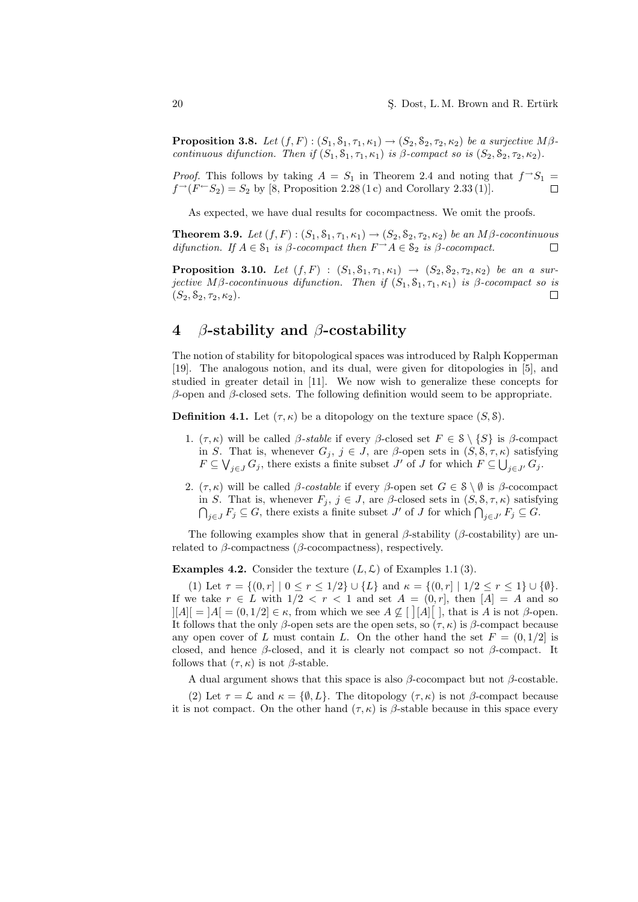**Proposition 3.8.** Let  $(f, F)$ :  $(S_1, S_1, \tau_1, \kappa_1) \rightarrow (S_2, S_2, \tau_2, \kappa_2)$  be a surjective  $M\beta$ continuous difunction. Then if  $(S_1, S_1, \tau_1, \kappa_1)$  is  $\beta$ -compact so is  $(S_2, S_2, \tau_2, \kappa_2)$ .

*Proof.* This follows by taking  $A = S_1$  in Theorem 2.4 and noting that  $f \rightarrow S_1$  =  $f^{\rightarrow}(F^{-}S_2) = S_2$  by [8, Proposition 2.28 (1c) and Corollary 2.33 (1)].

As expected, we have dual results for cocompactness. We omit the proofs.

**Theorem 3.9.** Let  $(f, F)$ :  $(S_1, S_1, \tau_1, \kappa_1) \rightarrow (S_2, S_2, \tau_2, \kappa_2)$  be an M $\beta$ -cocontinuous difunction. If  $A \in \mathcal{S}_1$  is  $\beta$ -cocompact then  $F \rightarrow A \in \mathcal{S}_2$  is  $\beta$ -cocompact.  $\Box$ 

**Proposition 3.10.** Let  $(f, F) : (S_1, S_1, \tau_1, \kappa_1) \to (S_2, S_2, \tau_2, \kappa_2)$  be an a surjective M $\beta$ -cocontinuous difunction. Then if  $(S_1, S_1, \tau_1, \kappa_1)$  is  $\beta$ -cocompact so is  $(S_2, \mathcal{S}_2, \tau_2, \kappa_2).$  $\Box$ 

# 4 β-stability and β-costability

The notion of stability for bitopological spaces was introduced by Ralph Kopperman [19]. The analogous notion, and its dual, were given for ditopologies in [5], and studied in greater detail in [11]. We now wish to generalize these concepts for  $β$ -open and  $β$ -closed sets. The following definition would seem to be appropriate.

**Definition 4.1.** Let  $(\tau, \kappa)$  be a ditopology on the texture space  $(S, \delta)$ .

- 1. (τ, κ) will be called β-stable if every β-closed set  $F ∈ S \ \S$  is β-compact in S. That is, whenever  $G_j$ ,  $j \in J$ , are  $\beta$ -open sets in  $(S, \mathcal{S}, \tau, \kappa)$  satisfying  $F \subseteq \bigvee_{j \in J} G_j$ , there exists a finite subset  $J'$  of  $J$  for which  $F \subseteq \bigcup_{j \in J'} G_j$ .
- 2.  $(\tau, \kappa)$  will be called *β-costable* if every *β*-open set  $G \in \mathcal{S} \setminus \emptyset$  is *β*-cocompact in S. That is, whenever  $F_j$ ,  $j \in J$ , are  $\beta$ -closed sets in  $(S, \delta, \tau, \kappa)$  satisfying 3. That is, whenever  $F_j$ ,  $j \in J$ , are p-closed sets in  $(S, \delta, \tau, \kappa)$  satisfy  $j \in J$   $F_j \subseteq G$ , there exists a finite subset  $J'$  of  $J$  for which  $\bigcap_{j \in J'} F_j \subseteq G$ .

The following examples show that in general  $\beta$ -stability ( $\beta$ -costability) are unrelated to  $\beta$ -compactness ( $\beta$ -cocompactness), respectively.

**Examples 4.2.** Consider the texture  $(L, \mathcal{L})$  of Examples 1.1 (3).

(1) Let  $\tau = \{(0, r] \mid 0 \le r \le 1/2\} \cup \{L\}$  and  $\kappa = \{(0, r] \mid 1/2 \le r \le 1\} \cup \{\emptyset\}.$ If we take  $r \in L$  with  $1/2 < r < 1$  and set  $A = (0, r]$ , then  $[A] = A$  and so  $\vert A \vert = \vert A \vert = (0,1/2] \in \kappa$ , from which we see  $A \not\subseteq \vert \vert A \vert \vert$ , that is A is not  $\beta$ -open. It follows that the only β-open sets are the open sets, so  $(\tau, \kappa)$  is β-compact because any open cover of L must contain L. On the other hand the set  $F = (0, 1/2]$  is closed, and hence  $\beta$ -closed, and it is clearly not compact so not  $\beta$ -compact. It follows that  $(\tau, \kappa)$  is not  $\beta$ -stable.

A dual argument shows that this space is also  $\beta$ -cocompact but not  $\beta$ -costable.

(2) Let  $\tau = \mathcal{L}$  and  $\kappa = {\emptyset, L}$ . The ditopology  $(\tau, \kappa)$  is not  $\beta$ -compact because it is not compact. On the other hand  $(\tau, \kappa)$  is  $\beta$ -stable because in this space every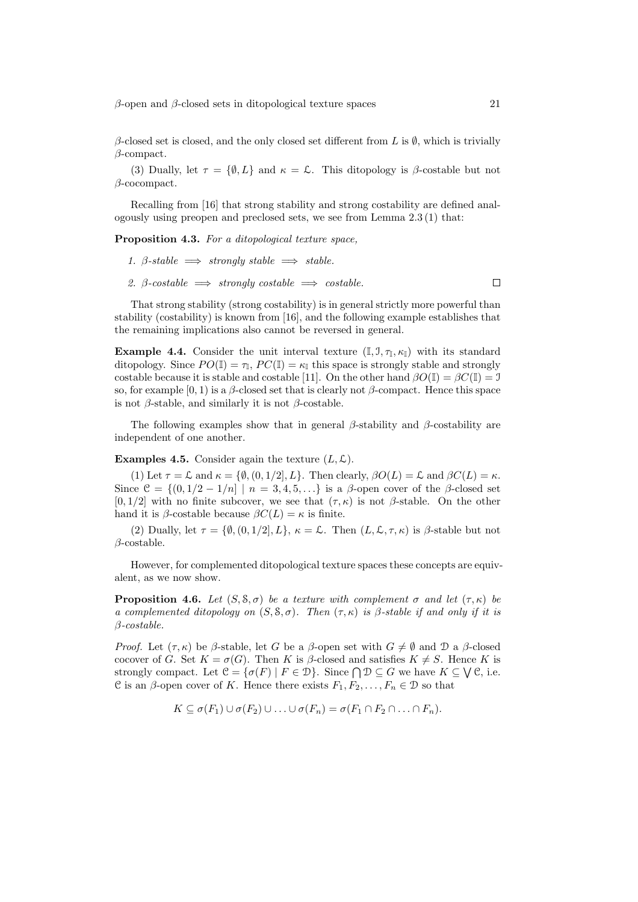$β$ -open and  $β$ -closed sets in ditopological texture spaces 21

 $\beta$ -closed set is closed, and the only closed set different from L is  $\emptyset$ , which is trivially  $\beta$ -compact.

(3) Dually, let  $\tau = \{\emptyset, L\}$  and  $\kappa = \mathcal{L}$ . This ditopology is  $\beta$ -costable but not β-cocompact.

Recalling from [16] that strong stability and strong costability are defined analogously using preopen and preclosed sets, we see from Lemma 2.3 (1) that:

Proposition 4.3. For a ditopological texture space,

- 1. β-stable  $\implies$  strongly stable  $\implies$  stable.
- 2. β-costable  $\implies$  strongly costable  $\implies$  costable.  $\Box$

That strong stability (strong costability) is in general strictly more powerful than stability (costability) is known from [16], and the following example establishes that the remaining implications also cannot be reversed in general.

**Example 4.4.** Consider the unit interval texture  $(\mathbb{I}, \mathcal{I}, \tau_{\mathbb{I}}, \kappa_{\mathbb{I}})$  with its standard ditopology. Since  $PO(\mathbb{I}) = \tau_{\mathbb{I}}, PC(\mathbb{I}) = \kappa_{\mathbb{I}}$  this space is strongly stable and strongly costable because it is stable and costable [11]. On the other hand  $\beta O(\mathbb{I}) = \beta C(\mathbb{I}) = \mathbb{I}$ so, for example  $[0, 1)$  is a  $\beta$ -closed set that is clearly not  $\beta$ -compact. Hence this space is not  $\beta$ -stable, and similarly it is not  $\beta$ -costable.

The following examples show that in general  $\beta$ -stability and  $\beta$ -costability are independent of one another.

**Examples 4.5.** Consider again the texture  $(L, \mathcal{L})$ .

(1) Let  $\tau = \mathcal{L}$  and  $\kappa = {\emptyset, (0, 1/2], L}$ . Then clearly,  $\beta O(L) = \mathcal{L}$  and  $\beta C(L) = \kappa$ . Since  $\mathcal{C} = \{(0, 1/2 - 1/n] \mid n = 3, 4, 5, \ldots\}$  is a  $\beta$ -open cover of the  $\beta$ -closed set [0, 1/2] with no finite subcover, we see that  $(\tau, \kappa)$  is not  $\beta$ -stable. On the other hand it is  $\beta$ -costable because  $\beta C(L) = \kappa$  is finite.

(2) Dually, let  $\tau = \{\emptyset, (0, 1/2], L\}, \kappa = \mathcal{L}$ . Then  $(L, \mathcal{L}, \tau, \kappa)$  is  $\beta$ -stable but not  $\beta$ -costable.

However, for complemented ditopological texture spaces these concepts are equivalent, as we now show.

**Proposition 4.6.** Let  $(S, \mathcal{S}, \sigma)$  be a texture with complement  $\sigma$  and let  $(\tau, \kappa)$  be a complemented ditopology on  $(S, \mathcal{S}, \sigma)$ . Then  $(\tau, \kappa)$  is  $\beta$ -stable if and only if it is β-costable.

*Proof.* Let  $(\tau, \kappa)$  be  $\beta$ -stable, let G be a  $\beta$ -open set with  $G \neq \emptyset$  and D a  $\beta$ -closed cocover of G. Set  $K = \sigma(G)$ . Then K is  $\beta$ -closed and satisfies  $K \neq S$ . Hence K is cocover of G. Set  $K = \sigma(G)$ . Then  $K$  is  $\beta$ -closed and satisfies  $K \neq S$ . Hence  $K$  is strongly compact. Let  $\mathcal{C} = {\sigma(F) | F \in \mathcal{D}}$ . Since  $\bigcap \mathcal{D} \subseteq G$  we have  $K \subseteq \bigvee \mathcal{C}$ , i.e. C is an  $\beta$ -open cover of K. Hence there exists  $F_1, F_2, \ldots, F_n \in \mathcal{D}$  so that

$$
K \subseteq \sigma(F_1) \cup \sigma(F_2) \cup \ldots \cup \sigma(F_n) = \sigma(F_1 \cap F_2 \cap \ldots \cap F_n).
$$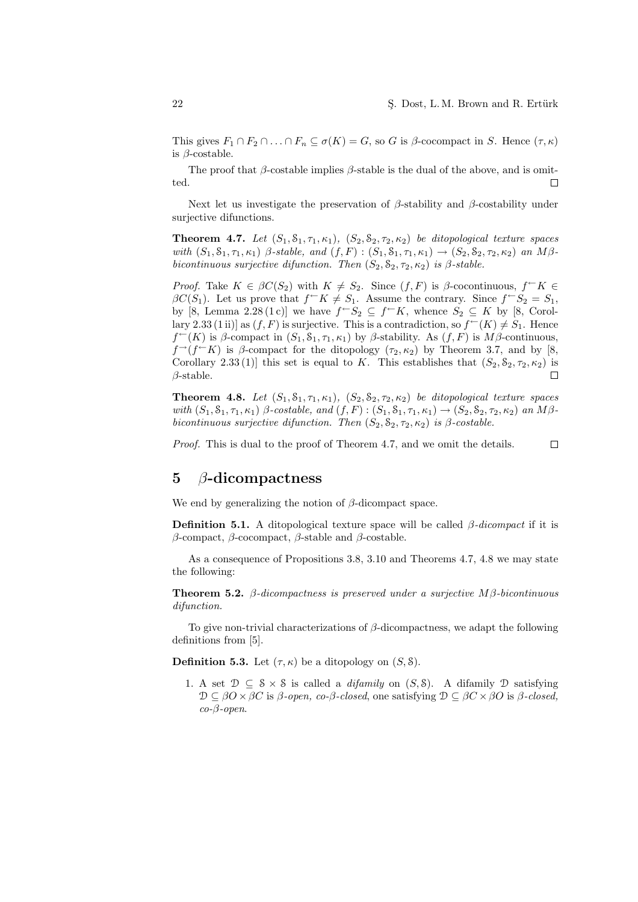This gives  $F_1 \cap F_2 \cap ... \cap F_n \subseteq \sigma(K) = G$ , so G is  $\beta$ -cocompact in S. Hence  $(\tau, \kappa)$ is  $\beta$ -costable.

The proof that  $\beta$ -costable implies  $\beta$ -stable is the dual of the above, and is omitted.  $\Box$ 

Next let us investigate the preservation of  $\beta$ -stability and  $\beta$ -costability under surjective difunctions.

**Theorem 4.7.** Let  $(S_1, S_1, \tau_1, \kappa_1), (S_2, S_2, \tau_2, \kappa_2)$  be ditopological texture spaces with  $(S_1, S_1, \tau_1, \kappa_1)$   $\beta$ -stable, and  $(f, F) : (S_1, S_1, \tau_1, \kappa_1) \rightarrow (S_2, S_2, \tau_2, \kappa_2)$  an  $M\beta$ bicontinuous surjective difunction. Then  $(S_2, S_2, \tau_2, \kappa_2)$  is  $\beta$ -stable.

*Proof.* Take  $K \in \beta C(S_2)$  with  $K \neq S_2$ . Since  $(f, F)$  is  $\beta$ -cocontinuous,  $f \subset K \in$  $\beta C(S_1)$ . Let us prove that  $f \subset K \neq S_1$ . Assume the contrary. Since  $f \subset S_2 = S_1$ , by [8, Lemma 2.28 (1c)] we have  $f-S_2 \subseteq f-K$ , whence  $S_2 \subseteq K$  by [8, Corollary 2.33 (1 ii)] as  $(f, F)$  is surjective. This is a contradiction, so  $f^{\leftarrow}(K) \neq S_1$ . Hence  $f^{\leftarrow}(K)$  is  $\beta$ -compact in  $(S_1, S_1, \tau_1, \kappa_1)$  by  $\beta$ -stability. As  $(f, F)$  is  $M\beta$ -continuous,  $f^{\rightarrow}(f^{\leftarrow}K)$  is  $\beta$ -compact for the ditopology  $(\tau_2, \kappa_2)$  by Theorem 3.7, and by [8, Corollary 2.33 (1)] this set is equal to K. This establishes that  $(S_2, S_2, \tau_2, \kappa_2)$  is  $\beta$ -stable.  $\Box$ 

**Theorem 4.8.** Let  $(S_1, S_1, \tau_1, \kappa_1), (S_2, S_2, \tau_2, \kappa_2)$  be ditopological texture spaces with  $(S_1, S_1, \tau_1, \kappa_1)$   $\beta$ -costable, and  $(f, F) : (S_1, S_1, \tau_1, \kappa_1) \to (S_2, S_2, \tau_2, \kappa_2)$  an  $M\beta$ bicontinuous surjective difunction. Then  $(S_2, S_2, \tau_2, \kappa_2)$  is  $\beta$ -costable.

Proof. This is dual to the proof of Theorem 4.7, and we omit the details.  $\Box$ 

## 5  $\beta$ -dicompactness

We end by generalizing the notion of  $\beta$ -dicompact space.

**Definition 5.1.** A ditopological texture space will be called  $\beta$ -dicompact if it is β-compact, β-cocompact, β-stable and β-costable.

As a consequence of Propositions 3.8, 3.10 and Theorems 4.7, 4.8 we may state the following:

**Theorem 5.2.** β-dicompactness is preserved under a surjective  $M\beta$ -bicontinuous difunction.

To give non-trivial characterizations of  $\beta$ -dicompactness, we adapt the following definitions from [5].

**Definition 5.3.** Let  $(\tau, \kappa)$  be a ditopology on  $(S, \delta)$ .

1. A set  $\mathcal{D} \subseteq \mathcal{S} \times \mathcal{S}$  is called a *difamily* on  $(S, \mathcal{S})$ . A difamily  $\mathcal{D}$  satisfying  $\mathcal{D} \subseteq \beta O \times \beta C$  is  $\beta$ -open, co- $\beta$ -closed, one satisfying  $\mathcal{D} \subseteq \beta C \times \beta O$  is  $\beta$ -closed,  $co$ - $\beta$ -open.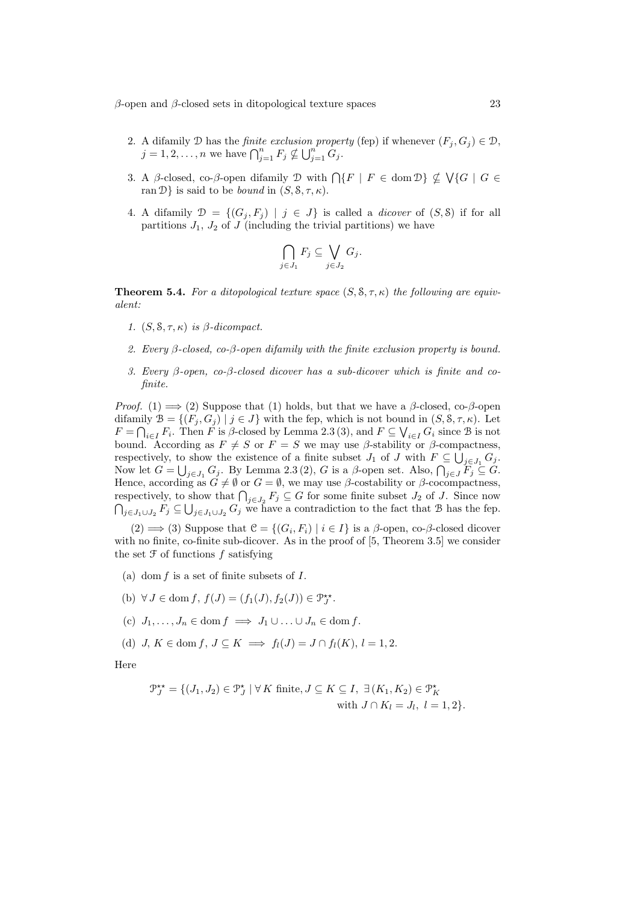$β$ -open and  $β$ -closed sets in ditopological texture spaces 23

- 2. A difamily D has the *finite exclusion property* (fep) if whenever  $(F_i, G_j) \in \mathcal{D}$ , A dilamily D has the *finite excussion proper*  $j = 1, 2, ..., n$  we have  $\bigcap_{j=1}^{n} F_j \nsubseteq \bigcup_{j=1}^{n} G_j$ .
- 3. A β-closed, co-β-open difamily D with  $\bigcap \{F \mid F \in \text{dom } \mathcal{D} \} \nsubseteq \bigvee \{G \mid G \in$ ran  $\mathcal{D}\}$  is said to be *bound* in  $(S, \mathcal{S}, \tau, \kappa)$ .
- 4. A difamily  $\mathcal{D} = \{(G_i, F_i) \mid j \in J\}$  is called a *dicover* of  $(S, \delta)$  if for all partitions  $J_1$ ,  $J_2$  of  $J$  (including the trivial partitions) we have

$$
\bigcap_{j\in J_1} F_j \subseteq \bigvee_{j\in J_2} G_j.
$$

**Theorem 5.4.** For a ditopological texture space  $(S, \mathcal{S}, \tau, \kappa)$  the following are equivalent:

- 1.  $(S, \mathcal{S}, \tau, \kappa)$  is  $\beta$ -dicompact.
- 2. Every  $\beta$ -closed, co- $\beta$ -open difamily with the finite exclusion property is bound.
- 3. Every β-open, co-β-closed dicover has a sub-dicover which is finite and cofinite.

*Proof.* (1)  $\implies$  (2) Suppose that (1) holds, but that we have a  $\beta$ -closed, co- $\beta$ -open difamily  $\mathcal{B} = \{ (F_j, G_j) \mid j \in J \}$  with the fep, which is not bound in  $(S, S, \tau, \kappa)$ . Let  $F = \bigcap_{i \in I} F_i$ . Then F is  $\beta$ -closed by Lemma 2.3 (3), and  $F \subseteq \bigvee_{i \in I} G_i$  since B is not bound. According as  $F \neq S$  or  $F = S$  we may use  $\beta$ -stability or  $\beta$ -compactness, respectively, to show the existence of a finite subset  $J_1$  of  $J$  with  $F \subseteq \bigcup_{j \in J_1} G_j$ . Respectively, to show the existence of a limite subset  $J_1$  of J with  $F \subseteq \bigcup_{j \in J_1} G_j$ .<br>Now let  $G = \bigcup_{j \in J_1} G_j$ . By Lemma 2.3 (2), G is a  $\beta$ -open set. Also,  $\bigcap_{j \in J} F_j \subseteq G$ . Hence, according as  $\tilde{G} \neq \emptyset$  or  $G = \emptyset$ , we may use  $\beta$ -costability or  $\beta$ -cocompactness, rence, according as  $G \neq \emptyset$  or  $G = \emptyset$ , we may use  $\rho$ -costability or  $\rho$ -cocompactness,<br>respectively, to show that  $\bigcap_{j \in J_2} F_j \subseteq G$  for some finite subset  $J_2$  of J. Since now spectively, to si $_{j\in J_1\cup J_2} F_j \subseteq \bigcup$  $j \in J_1 \cup J_2$  G we have a contradiction to the fact that B has the fep.

(2) ⇒ (3) Suppose that  $\mathcal{C} = \{(G_i, F_i) | i \in I\}$  is a  $\beta$ -open, co- $\beta$ -closed dicover with no finite, co-finite sub-dicover. As in the proof of [5, Theorem 3.5] we consider the set  $\mathfrak F$  of functions  $f$  satisfying

- (a) dom  $f$  is a set of finite subsets of  $I$ .
- (b)  $\forall J \in \text{dom } f, f(J) = (f_1(J), f_2(J)) \in \mathcal{P}_J^{\star\star}.$
- (c)  $J_1, \ldots, J_n \in \text{dom } f \implies J_1 \cup \ldots \cup J_n \in \text{dom } f.$
- (d) J,  $K \in \text{dom } f, J \subseteq K \implies f_1(J) = J \cap f_1(K), l = 1, 2.$

Here

$$
\mathcal{P}_J^{\star\star} = \{ (J_1, J_2) \in \mathcal{P}_J^{\star} \mid \forall K \text{ finite}, J \subseteq K \subseteq I, \exists (K_1, K_2) \in \mathcal{P}_K^{\star} \text{ with } J \cap K_l = J_l, \ l = 1, 2 \}.
$$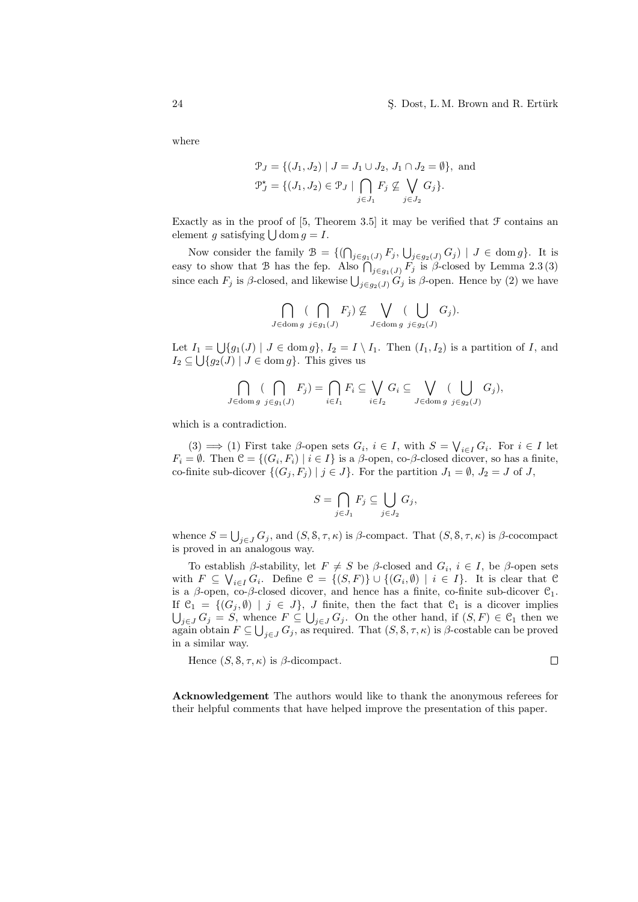#### 24 S. Dost, L. M. Brown and R. Ertürk

 $\Box$ 

where

$$
\mathcal{P}_J = \{ (J_1, J_2) \mid J = J_1 \cup J_2, J_1 \cap J_2 = \emptyset \}, \text{ and}
$$
  

$$
\mathcal{P}_J^* = \{ (J_1, J_2) \in \mathcal{P}_J \mid \bigcap_{j \in J_1} F_j \nsubseteq \bigvee_{j \in J_2} G_j \}.
$$

Exactly as in the proof of  $[5,$  Theorem 3.5 it may be verified that  $\mathcal F$  contains an **EXACTLY** AS In the proof of  $[3, 1]$ <br>element g satisfying  $\bigcup$  dom  $g = I$ .

Now consider the family  $\mathcal{B} = \{(\bigcap_{j \in g_1(J)} F_j, \bigcup_{j \in g_2(J)} G_j) \mid J \in \text{dom } g\}$ . It is easy to show that  $\mathcal{B}$  has the fep. Also  $\bigcap_{j \in g_1(J)} F_j$  is  $\beta$ -closed by Lemma 2.3 (3) since each  $F_j$  is  $\beta$ -closed, and likewise  $\bigcup_{j \in g_2(J)} G_j$  is  $\beta$ -open. Hence by (2) we have

$$
\bigcap_{J \in \text{dom } g} (\bigcap_{j \in g_1(J)} F_j) \nsubseteq \bigvee_{J \in \text{dom } g} (\bigcup_{j \in g_2(J)} G_j).
$$

Let  $I_1 = \bigcup \{g_1(J) \mid J \in \text{dom } g\}, I_2 = I \setminus I_1$ . Then  $(I_1, I_2)$  is a partition of I, and  $I_2 \subseteq \bigcup \{g_2(J) \mid J \in \text{dom } g\}.$  This gives us

$$
\bigcap_{J \in \text{dom } g} (\bigcap_{j \in g_1(J)} F_j) = \bigcap_{i \in I_1} F_i \subseteq \bigvee_{i \in I_2} G_i \subseteq \bigvee_{J \in \text{dom } g} (\bigcup_{j \in g_2(J)} G_j),
$$

which is a contradiction.

(3)  $\implies$  (1) First take  $\beta$ -open sets  $G_i$ ,  $i \in I$ , with  $S = \bigvee_{i \in I} G_i$ . For  $i \in I$  let  $F_i = \emptyset$ . Then  $\mathcal{C} = \{(G_i, F_i) \mid i \in I\}$  is a  $\beta$ -open, co- $\beta$ -closed dicover, so has a finite, co-finite sub-dicover  $\{(G_j, F_j) | j \in J\}$ . For the partition  $J_1 = \emptyset$ ,  $J_2 = J$  of J,

$$
S = \bigcap_{j \in J_1} F_j \subseteq \bigcup_{j \in J_2} G_j,
$$

whence  $S = \bigcup_{j \in J} G_j$ , and  $(S, \mathcal{S}, \tau, \kappa)$  is  $\beta$ -compact. That  $(S, \mathcal{S}, \tau, \kappa)$  is  $\beta$ -cocompact is proved in an analogous way.

To establish  $\beta$ -stability, let  $F \neq S$  be  $\beta$ -closed and  $G_i$ ,  $i \in I$ , be  $\beta$ -open sets with  $F \subseteq \bigvee_{i \in I} G_i$ . Define  $\mathcal{C} = \{(S, F)\} \cup \{(G_i, \emptyset) \mid i \in I\}$ . It is clear that  $\mathcal{C}$ is a  $\beta$ -open, co- $\beta$ -closed dicover, and hence has a finite, co-finite sub-dicover  $\mathcal{C}_1$ . If  $\mathcal{C}_1 = \{ (G_j, \emptyset) \mid j \in J \}$ , J finite, then the fact that  $\mathcal{C}_1$  is a dicover implies  $j\in J$   $G_j = S$ , whence  $F \subseteq \bigcup_{j\in J} G_j$ . On the other hand, if  $(S, F) \in \mathcal{C}_1$  then we again obtain  $F \subseteq \bigcup_{j \in J} G_j$ , as required. That  $(S, \mathcal{S}, \tau, \kappa)$  is  $\beta$ -costable can be proved in a similar way.

Hence 
$$
(S, \mathcal{S}, \tau, \kappa)
$$
 is  $\beta$ -dicompact.

Acknowledgement The authors would like to thank the anonymous referees for their helpful comments that have helped improve the presentation of this paper.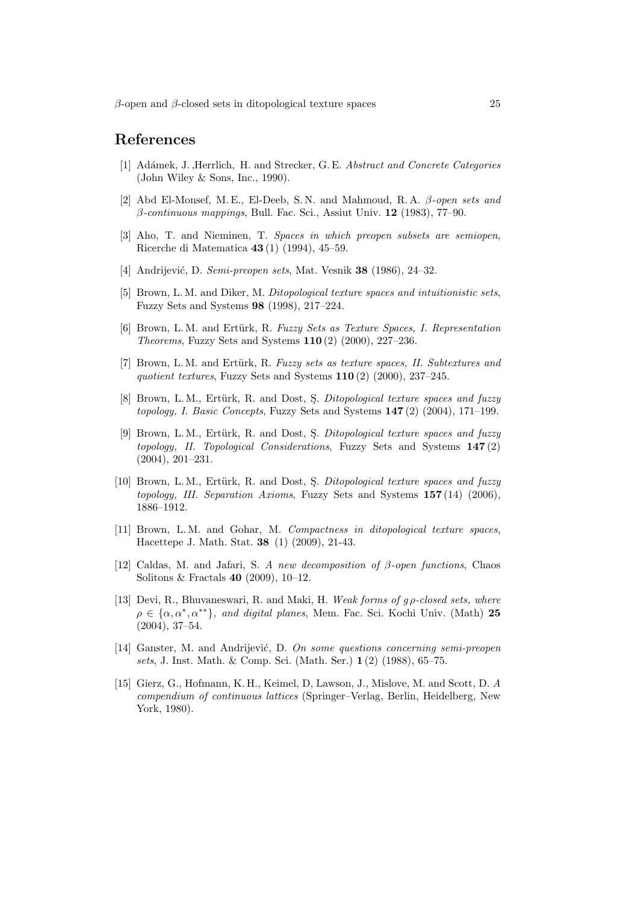## References

- [1] Adámek, J. ,Herrlich, H. and Strecker, G. E. Abstract and Concrete Categories (John Wiley & Sons, Inc., 1990).
- [2] Abd El-Monsef, M. E., El-Deeb, S. N. and Mahmoud, R. A. β-open sets and  $\beta$ -continuous mappings, Bull. Fac. Sci., Assiut Univ. 12 (1983), 77–90.
- [3] Aho, T. and Nieminen, T. Spaces in which preopen subsets are semiopen, Ricerche di Matematica 43 (1) (1994), 45–59.
- [4] Andrijević, D. Semi-preopen sets, Mat. Vesnik 38 (1986), 24–32.
- [5] Brown, L. M. and Diker, M. Ditopological texture spaces and intuitionistic sets, Fuzzy Sets and Systems 98 (1998), 217–224.
- [6] Brown, L. M. and Ertürk, R. Fuzzy Sets as Texture Spaces, I. Representation Theorems, Fuzzy Sets and Systems 110 (2) (2000), 227–236.
- [7] Brown, L. M. and Ertürk, R. Fuzzy sets as texture spaces, II. Subtextures and quotient textures, Fuzzy Sets and Systems 110 (2) (2000), 237-245.
- [8] Brown, L. M., Ertürk, R. and Dost, S. Ditopological texture spaces and fuzzy topology, I. Basic Concepts, Fuzzy Sets and Systems 147 (2) (2004), 171–199.
- [9] Brown, L. M., Ertürk, R. and Dost, S. Ditopological texture spaces and fuzzy topology, II. Topological Considerations, Fuzzy Sets and Systems 147 (2) (2004), 201–231.
- [10] Brown, L. M., Ertürk, R. and Dost, S. Ditopological texture spaces and fuzzy topology, III. Separation Axioms, Fuzzy Sets and Systems 157 (14) (2006), 1886–1912.
- [11] Brown, L. M. and Gohar, M. Compactness in ditopological texture spaces, Hacettepe J. Math. Stat. 38 (1) (2009), 21-43.
- [12] Caldas, M. and Jafari, S. A new decomposition of β-open functions, Chaos Solitons & Fractals 40 (2009), 10–12.
- [13] Devi, R., Bhuvaneswari, R. and Maki, H. Weak forms of  $q \rho$ -closed sets, where  $\rho \in {\alpha, \alpha^*, \alpha^{**}}$ , and digital planes, Mem. Fac. Sci. Kochi Univ. (Math) 25 (2004), 37–54.
- [14] Ganster, M. and Andrijević, D. On some questions concerning semi-preopen sets, J. Inst. Math. & Comp. Sci. (Math. Ser.) 1 (2) (1988), 65–75.
- [15] Gierz, G., Hofmann, K. H., Keimel, D, Lawson, J., Mislove, M. and Scott, D. A compendium of continuous lattices (Springer–Verlag, Berlin, Heidelberg, New York, 1980).